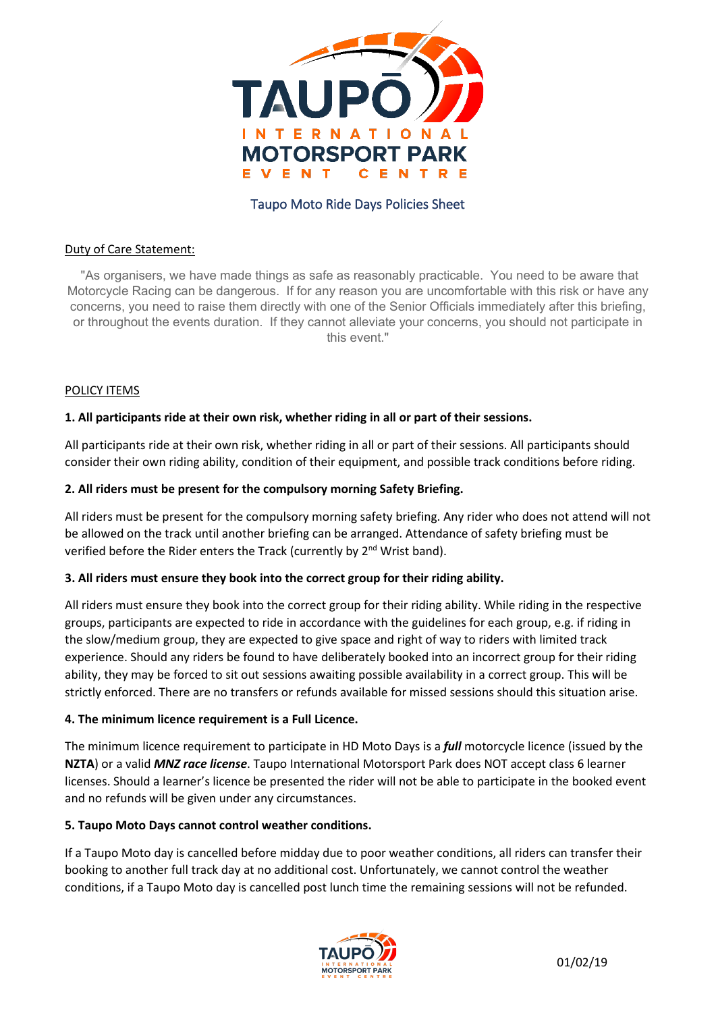

# Taupo Moto Ride Days Policies Sheet

#### Duty of Care Statement:

"As organisers, we have made things as safe as reasonably practicable. You need to be aware that Motorcycle Racing can be dangerous. If for any reason you are uncomfortable with this risk or have any concerns, you need to raise them directly with one of the Senior Officials immediately after this briefing, or throughout the events duration. If they cannot alleviate your concerns, you should not participate in this event."

### POLICY ITEMS

### **1. All participants ride at their own risk, whether riding in all or part of their sessions.**

All participants ride at their own risk, whether riding in all or part of their sessions. All participants should consider their own riding ability, condition of their equipment, and possible track conditions before riding.

### **2. All riders must be present for the compulsory morning Safety Briefing.**

All riders must be present for the compulsory morning safety briefing. Any rider who does not attend will not be allowed on the track until another briefing can be arranged. Attendance of safety briefing must be verified before the Rider enters the Track (currently by 2<sup>nd</sup> Wrist band).

#### **3. All riders must ensure they book into the correct group for their riding ability.**

All riders must ensure they book into the correct group for their riding ability. While riding in the respective groups, participants are expected to ride in accordance with the guidelines for each group, e.g. if riding in the slow/medium group, they are expected to give space and right of way to riders with limited track experience. Should any riders be found to have deliberately booked into an incorrect group for their riding ability, they may be forced to sit out sessions awaiting possible availability in a correct group. This will be strictly enforced. There are no transfers or refunds available for missed sessions should this situation arise.

#### **4. The minimum licence requirement is a Full Licence.**

The minimum licence requirement to participate in HD Moto Days is a *full* motorcycle licence (issued by the **NZTA**) or a valid *MNZ race license*. Taupo International Motorsport Park does NOT accept class 6 learner licenses. Should a learner's licence be presented the rider will not be able to participate in the booked event and no refunds will be given under any circumstances.

#### **5. Taupo Moto Days cannot control weather conditions.**

If a Taupo Moto day is cancelled before midday due to poor weather conditions, all riders can transfer their booking to another full track day at no additional cost. Unfortunately, we cannot control the weather conditions, if a Taupo Moto day is cancelled post lunch time the remaining sessions will not be refunded.

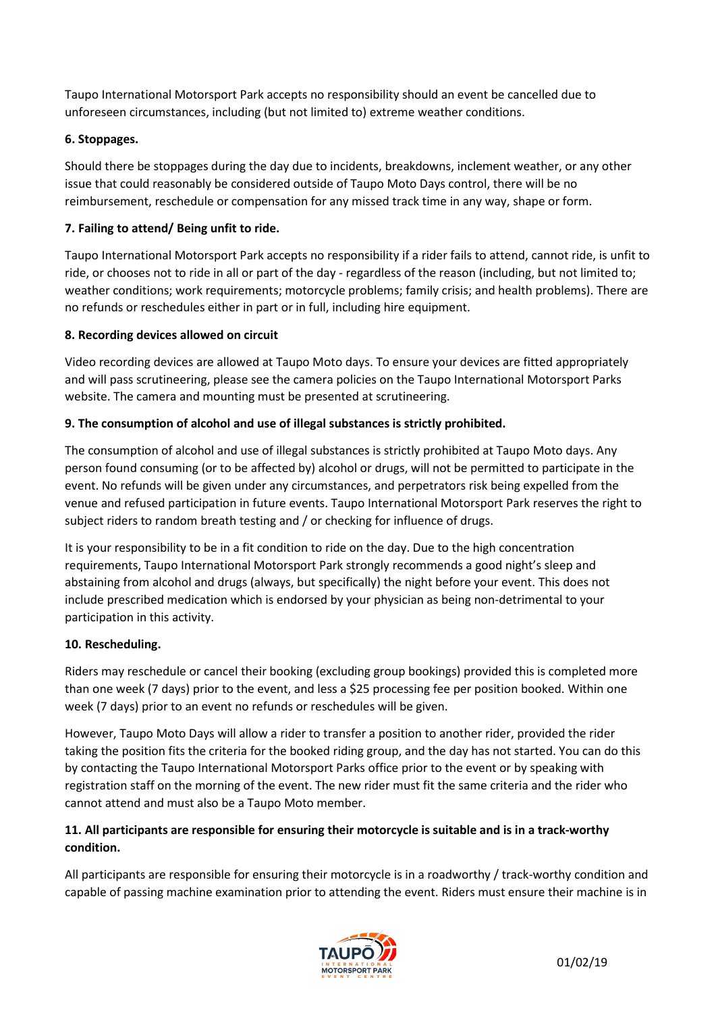Taupo International Motorsport Park accepts no responsibility should an event be cancelled due to unforeseen circumstances, including (but not limited to) extreme weather conditions.

# **6. Stoppages.**

Should there be stoppages during the day due to incidents, breakdowns, inclement weather, or any other issue that could reasonably be considered outside of Taupo Moto Days control, there will be no reimbursement, reschedule or compensation for any missed track time in any way, shape or form.

# **7. Failing to attend/ Being unfit to ride.**

Taupo International Motorsport Park accepts no responsibility if a rider fails to attend, cannot ride, is unfit to ride, or chooses not to ride in all or part of the day - regardless of the reason (including, but not limited to; weather conditions; work requirements; motorcycle problems; family crisis; and health problems). There are no refunds or reschedules either in part or in full, including hire equipment.

## **8. Recording devices allowed on circuit**

Video recording devices are allowed at Taupo Moto days. To ensure your devices are fitted appropriately and will pass scrutineering, please see the camera policies on the Taupo International Motorsport Parks website. The camera and mounting must be presented at scrutineering.

# **9. The consumption of alcohol and use of illegal substances is strictly prohibited.**

The consumption of alcohol and use of illegal substances is strictly prohibited at Taupo Moto days. Any person found consuming (or to be affected by) alcohol or drugs, will not be permitted to participate in the event. No refunds will be given under any circumstances, and perpetrators risk being expelled from the venue and refused participation in future events. Taupo International Motorsport Park reserves the right to subject riders to random breath testing and / or checking for influence of drugs.

It is your responsibility to be in a fit condition to ride on the day. Due to the high concentration requirements, Taupo International Motorsport Park strongly recommends a good night's sleep and abstaining from alcohol and drugs (always, but specifically) the night before your event. This does not include prescribed medication which is endorsed by your physician as being non-detrimental to your participation in this activity.

## **10. Rescheduling.**

Riders may reschedule or cancel their booking (excluding group bookings) provided this is completed more than one week (7 days) prior to the event, and less a \$25 processing fee per position booked. Within one week (7 days) prior to an event no refunds or reschedules will be given.

However, Taupo Moto Days will allow a rider to transfer a position to another rider, provided the rider taking the position fits the criteria for the booked riding group, and the day has not started. You can do this by contacting the Taupo International Motorsport Parks office prior to the event or by speaking with registration staff on the morning of the event. The new rider must fit the same criteria and the rider who cannot attend and must also be a Taupo Moto member.

# **11. All participants are responsible for ensuring their motorcycle is suitable and is in a track-worthy condition.**

All participants are responsible for ensuring their motorcycle is in a roadworthy / track-worthy condition and capable of passing machine examination prior to attending the event. Riders must ensure their machine is in

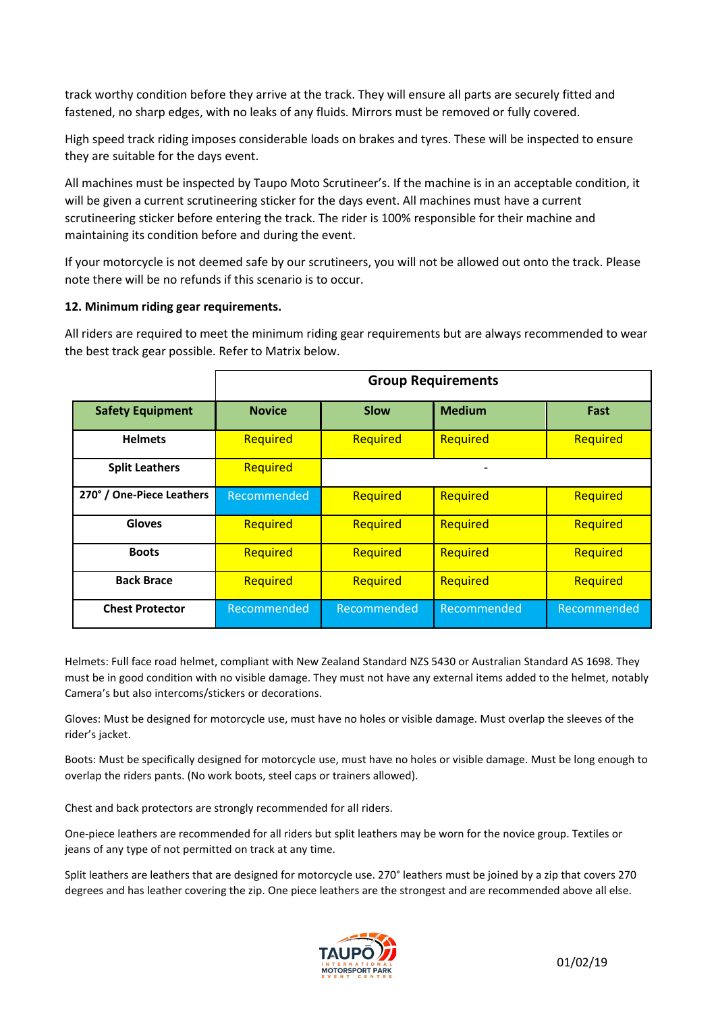track worthy condition before they arrive at the track. They will ensure all parts are securely fitted and fastened, no sharp edges, with no leaks of any fluids. Mirrors must be removed or fully covered.

High speed track riding imposes considerable loads on brakes and tyres. These will be inspected to ensure they are suitable for the days event.

All machines must be inspected by Taupo Moto Scrutineer's. If the machine is in an acceptable condition, it will be given a current scrutineering sticker for the days event. All machines must have a current scrutineering sticker before entering the track. The rider is 100% responsible for their machine and maintaining its condition before and during the event.

If your motorcycle is not deemed safe by our scrutineers, you will not be allowed out onto the track. Please note there will be no refunds if this scenario is to occur.

#### **12. Minimum riding gear requirements.**

All riders are required to meet the minimum riding gear requirements but are always recommended to wear the best track gear possible. Refer to Matrix below.

|                           | <b>Group Requirements</b> |             |                          |             |
|---------------------------|---------------------------|-------------|--------------------------|-------------|
| <b>Safety Equipment</b>   | <b>Novice</b>             | <b>Slow</b> | <b>Medium</b>            | Fast        |
| <b>Helmets</b>            | Required                  | Required    | Required                 | Required    |
| <b>Split Leathers</b>     | Required                  |             | $\overline{\phantom{a}}$ |             |
| 270° / One-Piece Leathers | Recommended               | Required    | Required                 | Required    |
| <b>Gloves</b>             | Required                  | Required    | Required                 | Required    |
| <b>Boots</b>              | Required                  | Required    | Required                 | Required    |
| <b>Back Brace</b>         | Required                  | Required    | Required                 | Required    |
| <b>Chest Protector</b>    | Recommended               | Recommended | Recommended              | Recommended |

Helmets: Full face road helmet, compliant with New Zealand Standard NZS 5430 or Australian Standard AS 1698. They must be in good condition with no visible damage. They must not have any external items added to the helmet, notably Camera's but also intercoms/stickers or decorations.

Gloves: Must be designed for motorcycle use, must have no holes or visible damage. Must overlap the sleeves of the rider's jacket.

Boots: Must be specifically designed for motorcycle use, must have no holes or visible damage. Must be long enough to overlap the riders pants. (No work boots, steel caps or trainers allowed).

Chest and back protectors are strongly recommended for all riders.

One-piece leathers are recommended for all riders but split leathers may be worn for the novice group. Textiles or jeans of any type of not permitted on track at any time.

Split leathers are leathers that are designed for motorcycle use. 270° leathers must be joined by a zip that covers 270 degrees and has leather covering the zip. One piece leathers are the strongest and are recommended above all else.